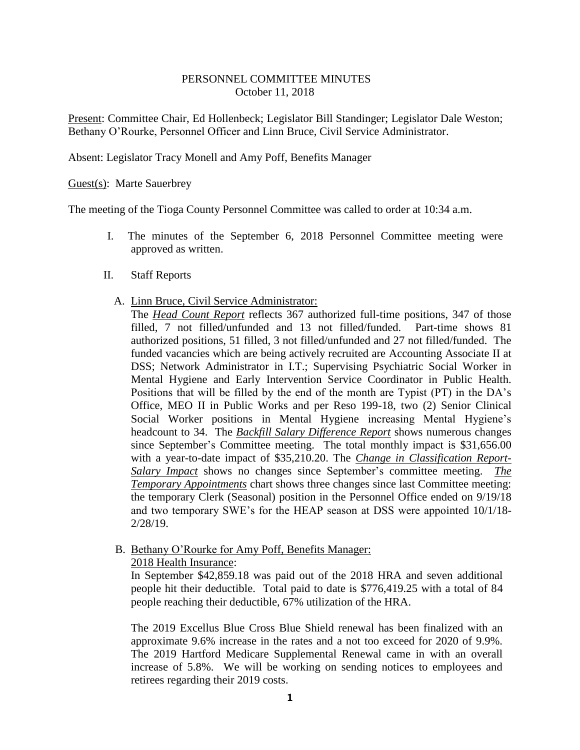## PERSONNEL COMMITTEE MINUTES October 11, 2018

Present: Committee Chair, Ed Hollenbeck; Legislator Bill Standinger; Legislator Dale Weston; Bethany O'Rourke, Personnel Officer and Linn Bruce, Civil Service Administrator.

Absent: Legislator Tracy Monell and Amy Poff, Benefits Manager

Guest(s): Marte Sauerbrey

The meeting of the Tioga County Personnel Committee was called to order at 10:34 a.m.

- I. The minutes of the September 6, 2018 Personnel Committee meeting were approved as written.
- II. Staff Reports
	- A. Linn Bruce, Civil Service Administrator:

The *Head Count Report* reflects 367 authorized full-time positions, 347 of those filled, 7 not filled/unfunded and 13 not filled/funded. Part-time shows 81 authorized positions, 51 filled, 3 not filled/unfunded and 27 not filled/funded. The funded vacancies which are being actively recruited are Accounting Associate II at DSS; Network Administrator in I.T.; Supervising Psychiatric Social Worker in Mental Hygiene and Early Intervention Service Coordinator in Public Health. Positions that will be filled by the end of the month are Typist (PT) in the DA's Office, MEO II in Public Works and per Reso 199-18, two (2) Senior Clinical Social Worker positions in Mental Hygiene increasing Mental Hygiene's headcount to 34. The *Backfill Salary Difference Report* shows numerous changes since September's Committee meeting. The total monthly impact is \$31,656.00 with a year-to-date impact of \$35,210.20. The *Change in Classification Report-Salary Impact* shows no changes since September's committee meeting. *The Temporary Appointments* chart shows three changes since last Committee meeting: the temporary Clerk (Seasonal) position in the Personnel Office ended on 9/19/18 and two temporary SWE's for the HEAP season at DSS were appointed 10/1/18- 2/28/19.

B. Bethany O'Rourke for Amy Poff, Benefits Manager:

2018 Health Insurance:

In September \$42,859.18 was paid out of the 2018 HRA and seven additional people hit their deductible. Total paid to date is \$776,419.25 with a total of 84 people reaching their deductible, 67% utilization of the HRA.

The 2019 Excellus Blue Cross Blue Shield renewal has been finalized with an approximate 9.6% increase in the rates and a not too exceed for 2020 of 9.9%. The 2019 Hartford Medicare Supplemental Renewal came in with an overall increase of 5.8%. We will be working on sending notices to employees and retirees regarding their 2019 costs.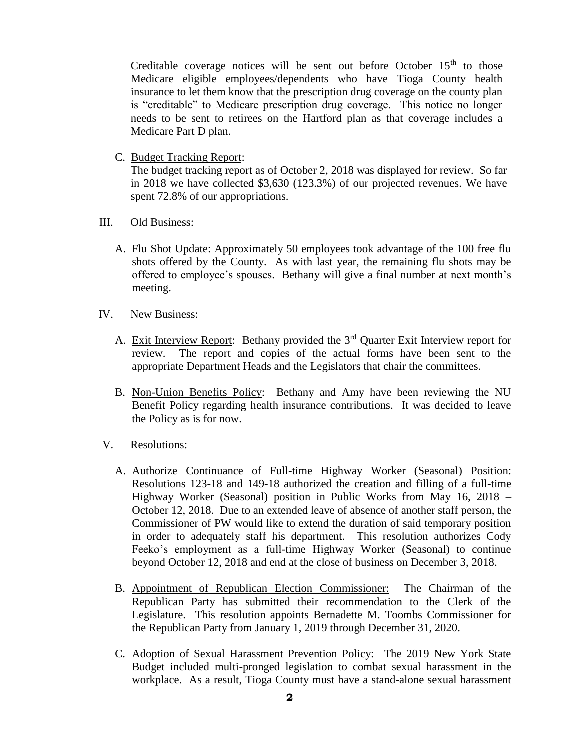Creditable coverage notices will be sent out before October  $15<sup>th</sup>$  to those Medicare eligible employees/dependents who have Tioga County health insurance to let them know that the prescription drug coverage on the county plan is "creditable" to Medicare prescription drug coverage. This notice no longer needs to be sent to retirees on the Hartford plan as that coverage includes a Medicare Part D plan.

C. Budget Tracking Report:

The budget tracking report as of October 2, 2018 was displayed for review. So far in 2018 we have collected \$3,630 (123.3%) of our projected revenues. We have spent 72.8% of our appropriations.

- III. Old Business:
	- A. Flu Shot Update: Approximately 50 employees took advantage of the 100 free flu shots offered by the County. As with last year, the remaining flu shots may be offered to employee's spouses. Bethany will give a final number at next month's meeting.
- IV. New Business:
	- A. Exit Interview Report: Bethany provided the 3<sup>rd</sup> Quarter Exit Interview report for review. The report and copies of the actual forms have been sent to the appropriate Department Heads and the Legislators that chair the committees.
	- B. Non-Union Benefits Policy: Bethany and Amy have been reviewing the NU Benefit Policy regarding health insurance contributions. It was decided to leave the Policy as is for now.
- V. Resolutions:
	- A. Authorize Continuance of Full-time Highway Worker (Seasonal) Position: Resolutions 123-18 and 149-18 authorized the creation and filling of a full-time Highway Worker (Seasonal) position in Public Works from May 16, 2018 – October 12, 2018. Due to an extended leave of absence of another staff person, the Commissioner of PW would like to extend the duration of said temporary position in order to adequately staff his department. This resolution authorizes Cody Feeko's employment as a full-time Highway Worker (Seasonal) to continue beyond October 12, 2018 and end at the close of business on December 3, 2018.
	- B. Appointment of Republican Election Commissioner: The Chairman of the Republican Party has submitted their recommendation to the Clerk of the Legislature. This resolution appoints Bernadette M. Toombs Commissioner for the Republican Party from January 1, 2019 through December 31, 2020.
	- C. Adoption of Sexual Harassment Prevention Policy: The 2019 New York State Budget included multi-pronged legislation to combat sexual harassment in the workplace. As a result, Tioga County must have a stand-alone sexual harassment